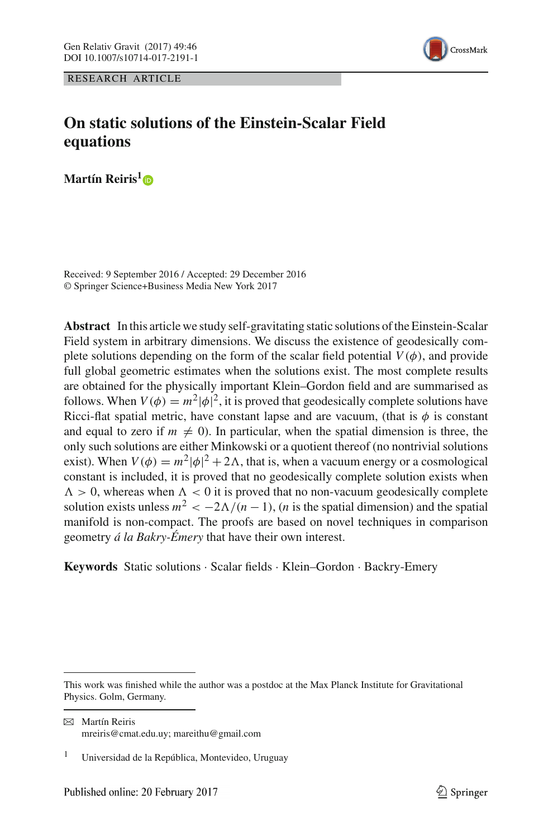RESEARCH ARTICLE



# **On static solutions of the Einstein-Scalar Field equations**

**Martín Reiris[1](http://orcid.org/0000-0002-6368-752X)**

Received: 9 September 2016 / Accepted: 29 December 2016 © Springer Science+Business Media New York 2017

**Abstract** In this article we study self-gravitating static solutions of the Einstein-Scalar Field system in arbitrary dimensions. We discuss the existence of geodesically complete solutions depending on the form of the scalar field potential  $V(\phi)$ , and provide full global geometric estimates when the solutions exist. The most complete results are obtained for the physically important Klein–Gordon field and are summarised as follows. When  $V(\phi) = m^2 |\phi|^2$ , it is proved that geodesically complete solutions have Ricci-flat spatial metric, have constant lapse and are vacuum, (that is  $\phi$  is constant and equal to zero if  $m \neq 0$ ). In particular, when the spatial dimension is three, the only such solutions are either Minkowski or a quotient thereof (no nontrivial solutions exist). When  $V(\phi) = m^2 |\phi|^2 + 2\Lambda$ , that is, when a vacuum energy or a cosmological constant is included, it is proved that no geodesically complete solution exists when  $\Lambda > 0$ , whereas when  $\Lambda < 0$  it is proved that no non-vacuum geodesically complete solution exists unless  $m^2 < -2\Lambda/(n-1)$ , (*n* is the spatial dimension) and the spatial manifold is non-compact. The proofs are based on novel techniques in comparison geometry *á la Bakry-Émery* that have their own interest.

**Keywords** Static solutions · Scalar fields · Klein–Gordon · Backry-Emery

This work was finished while the author was a postdoc at the Max Planck Institute for Gravitational Physics. Golm, Germany.

 $\boxtimes$  Martín Reiris mreiris@cmat.edu.uy; mareithu@gmail.com

<sup>&</sup>lt;sup>1</sup> Universidad de la República, Montevideo, Uruguay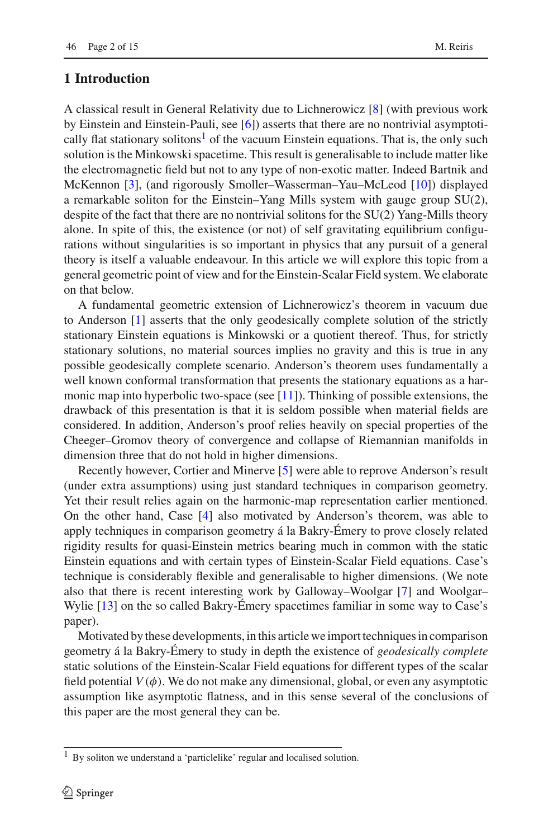# **1 Introduction**

A classical result in General Relativity due to Lichnerowicz [\[8](#page-14-0)] (with previous work by Einstein and Einstein-Pauli, see [\[6\]](#page-14-1)) asserts that there are no nontrivial asymptotically flat stationary solitons<sup>1</sup> of the vacuum Einstein equations. That is, the only such solution is the Minkowski spacetime. This result is generalisable to include matter like the electromagnetic field but not to any type of non-exotic matter. Indeed Bartnik and McKennon [\[3](#page-14-2)], (and rigorously Smoller–Wasserman–Yau–McLeod [\[10\]](#page-14-3)) displayed a remarkable soliton for the Einstein–Yang Mills system with gauge group SU(2), despite of the fact that there are no nontrivial solitons for the SU(2) Yang-Mills theory alone. In spite of this, the existence (or not) of self gravitating equilibrium configurations without singularities is so important in physics that any pursuit of a general theory is itself a valuable endeavour. In this article we will explore this topic from a general geometric point of view and for the Einstein-Scalar Field system. We elaborate on that below.

A fundamental geometric extension of Lichnerowicz's theorem in vacuum due to Anderson [\[1](#page-14-4)] asserts that the only geodesically complete solution of the strictly stationary Einstein equations is Minkowski or a quotient thereof. Thus, for strictly stationary solutions, no material sources implies no gravity and this is true in any possible geodesically complete scenario. Anderson's theorem uses fundamentally a well known conformal transformation that presents the stationary equations as a harmonic map into hyperbolic two-space (see  $[11]$ ). Thinking of possible extensions, the drawback of this presentation is that it is seldom possible when material fields are considered. In addition, Anderson's proof relies heavily on special properties of the Cheeger–Gromov theory of convergence and collapse of Riemannian manifolds in dimension three that do not hold in higher dimensions.

Recently however, Cortier and Minerve [\[5](#page-14-6)] were able to reprove Anderson's result (under extra assumptions) using just standard techniques in comparison geometry. Yet their result relies again on the harmonic-map representation earlier mentioned. On the other hand, Case [\[4\]](#page-14-7) also motivated by Anderson's theorem, was able to apply techniques in comparison geometry á la Bakry-Émery to prove closely related rigidity results for quasi-Einstein metrics bearing much in common with the static Einstein equations and with certain types of Einstein-Scalar Field equations. Case's technique is considerably flexible and generalisable to higher dimensions. (We note also that there is recent interesting work by Galloway–Woolgar [\[7](#page-14-8)] and Woolgar– Wylie [\[13](#page-14-9)] on the so called Bakry-Émery spacetimes familiar in some way to Case's paper).

Motivated by these developments, in this article we import techniques in comparison geometry á la Bakry-Émery to study in depth the existence of *geodesically complete* static solutions of the Einstein-Scalar Field equations for different types of the scalar field potential  $V(\phi)$ . We do not make any dimensional, global, or even any asymptotic assumption like asymptotic flatness, and in this sense several of the conclusions of this paper are the most general they can be.

<span id="page-1-0"></span><sup>&</sup>lt;sup>1</sup> By soliton we understand a 'particlelike' regular and localised solution.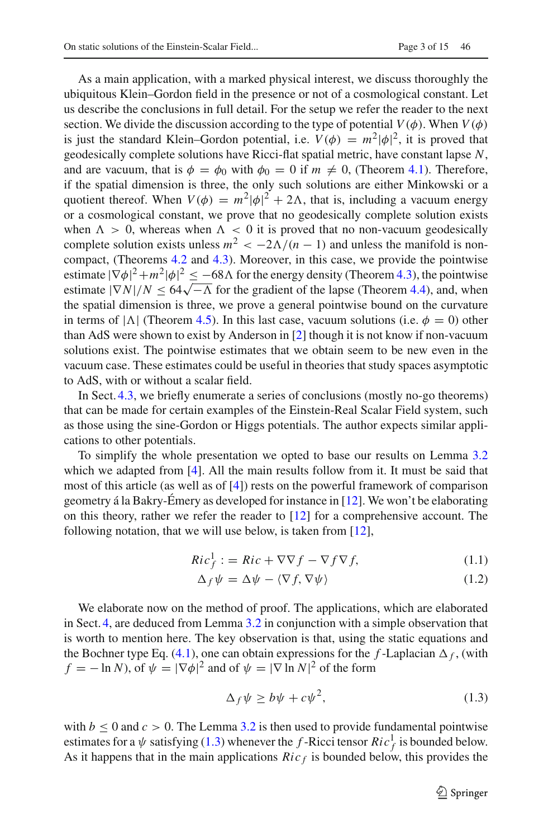As a main application, with a marked physical interest, we discuss thoroughly the ubiquitous Klein–Gordon field in the presence or not of a cosmological constant. Let us describe the conclusions in full detail. For the setup we refer the reader to the next section. We divide the discussion according to the type of potential  $V(\phi)$ . When  $V(\phi)$ is just the standard Klein–Gordon potential, i.e.  $V(\phi) = m^2 |\phi|^2$ , it is proved that geodesically complete solutions have Ricci-flat spatial metric, have constant lapse *N*, and are vacuum, that is  $\phi = \phi_0$  with  $\phi_0 = 0$  if  $m \neq 0$ , (Theorem [4.1\)](#page-6-0). Therefore, if the spatial dimension is three, the only such solutions are either Minkowski or a quotient thereof. When  $V(\phi) = m^2 |\phi|^2 + 2\Lambda$ , that is, including a vacuum energy or a cosmological constant, we prove that no geodesically complete solution exists when  $\Lambda > 0$ , whereas when  $\Lambda < 0$  it is proved that no non-vacuum geodesically complete solution exists unless  $m^2 < -2\Lambda/(n-1)$  and unless the manifold is noncompact, (Theorems [4.2](#page-8-0) and [4.3\)](#page-8-1). Moreover, in this case, we provide the pointwise estimate  $|\nabla \phi|^2 + m^2 |\phi|^2 \leq -68\Lambda$  for the energy density (Theorem [4.3\)](#page-8-1), the pointwise estimate  $|\nabla N|/N \leq 64\sqrt{-\Lambda}$  for the gradient of the lapse (Theorem [4.4\)](#page-10-0), and, when the spatial dimension is three, we prove a general pointwise bound on the curvature in terms of  $|\Lambda|$  (Theorem [4.5\)](#page-11-0). In this last case, vacuum solutions (i.e.  $\phi = 0$ ) other than AdS were shown to exist by Anderson in [\[2](#page-14-10)] though it is not know if non-vacuum solutions exist. The pointwise estimates that we obtain seem to be new even in the vacuum case. These estimates could be useful in theories that study spaces asymptotic to AdS, with or without a scalar field.

In Sect. [4.3,](#page-13-0) we briefly enumerate a series of conclusions (mostly no-go theorems) that can be made for certain examples of the Einstein-Real Scalar Field system, such as those using the sine-Gordon or Higgs potentials. The author expects similar applications to other potentials.

To simplify the whole presentation we opted to base our results on Lemma [3.2](#page-5-0) which we adapted from [\[4](#page-14-7)]. All the main results follow from it. It must be said that most of this article (as well as of [\[4](#page-14-7)]) rests on the powerful framework of comparison geometry á la Bakry-Émery as developed for instance in  $[12]$ . We won't be elaborating on this theory, rather we refer the reader to [\[12\]](#page-14-11) for a comprehensive account. The following notation, that we will use below, is taken from [\[12](#page-14-11)],

$$
Ric_f^1 := Ric + \nabla \nabla f - \nabla f \nabla f,\tag{1.1}
$$

$$
\Delta_f \psi = \Delta \psi - \langle \nabla f, \nabla \psi \rangle \tag{1.2}
$$

We elaborate now on the method of proof. The applications, which are elaborated in Sect. [4,](#page-6-1) are deduced from Lemma [3.2](#page-5-0) in conjunction with a simple observation that is worth to mention here. The key observation is that, using the static equations and the Bochner type Eq. [\(4.1\)](#page-7-0), one can obtain expressions for the  $f$ -Laplacian  $\Delta_f$ , (with  $f = -\ln N$ , of  $\psi = |\nabla \phi|^2$  and of  $\psi = |\nabla \ln N|^2$  of the form

<span id="page-2-0"></span>
$$
\Delta_f \psi \ge b\psi + c\psi^2,\tag{1.3}
$$

with  $b \leq 0$  and  $c > 0$ . The Lemma [3.2](#page-5-0) is then used to provide fundamental pointwise estimates for a  $\psi$  satisfying [\(1.3\)](#page-2-0) whenever the *f*-Ricci tensor  $Ric_f^1$  is bounded below. As it happens that in the main applications  $Ric<sub>f</sub>$  is bounded below, this provides the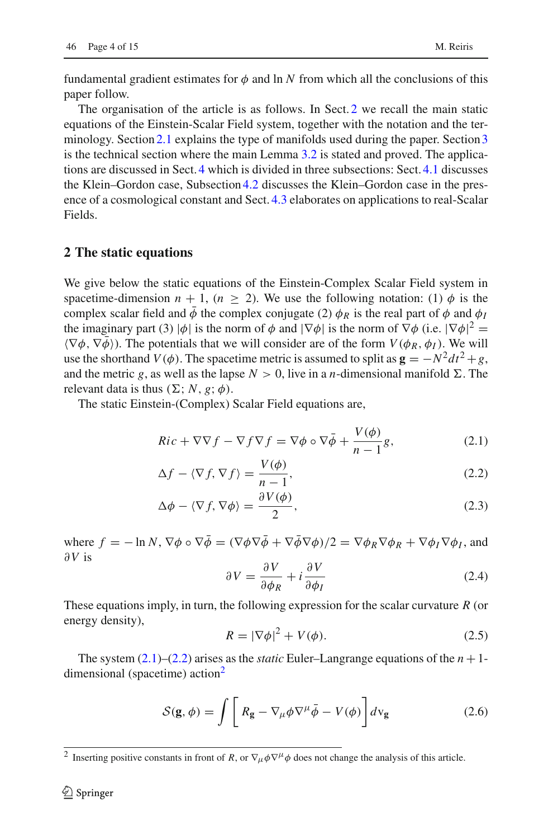fundamental gradient estimates for  $\phi$  and ln *N* from which all the conclusions of this paper follow.

The organisation of the article is as follows. In Sect. [2](#page-3-0) we recall the main static equations of the Einstein-Scalar Field system, together with the notation and the ter-minology. Section [2.1](#page-4-0) explains the type of manifolds used during the paper. Section [3](#page-4-1) is the technical section where the main Lemma [3.2](#page-5-0) is stated and proved. The applications are discussed in Sect. [4](#page-6-1) which is divided in three subsections: Sect. [4.1](#page-6-2) discusses the Klein–Gordon case, Subsection [4.2](#page-7-1) discusses the Klein–Gordon case in the presence of a cosmological constant and Sect. [4.3](#page-13-0) elaborates on applications to real-Scalar Fields.

#### <span id="page-3-0"></span>**2 The static equations**

We give below the static equations of the Einstein-Complex Scalar Field system in spacetime-dimension  $n + 1$ ,  $(n \ge 2)$ . We use the following notation: (1)  $\phi$  is the complex scalar field and  $\phi$  the complex conjugate (2)  $\phi_R$  is the real part of  $\phi$  and  $\phi_I$ the imaginary part (3)  $|\phi|$  is the norm of  $\phi$  and  $|\nabla \phi|$  is the norm of  $\nabla \phi$  (i.e.  $|\nabla \phi|^2$  =  $\langle \nabla \phi, \nabla \bar{\phi} \rangle$ ). The potentials that we will consider are of the form  $V(\phi_R, \phi_I)$ . We will use the shorthand *V*( $\phi$ ). The spacetime metric is assumed to split as  $\mathbf{g} = -N^2 dt^2 + g$ , and the metric *g*, as well as the lapse  $N > 0$ , live in a *n*-dimensional manifold  $\Sigma$ . The relevant data is thus  $(\Sigma; N, g; \phi)$ .

The static Einstein-(Complex) Scalar Field equations are,

$$
Ric + \nabla \nabla f - \nabla f \nabla f = \nabla \phi \circ \nabla \bar{\phi} + \frac{V(\phi)}{n-1}g,\tag{2.1}
$$

$$
\Delta f - \langle \nabla f, \nabla f \rangle = \frac{V(\phi)}{n-1},\tag{2.2}
$$

$$
\Delta \phi - \langle \nabla f, \nabla \phi \rangle = \frac{\partial V(\phi)}{2},\tag{2.3}
$$

where  $f = -\ln N$ ,  $\nabla \phi \circ \nabla \bar{\phi} = (\nabla \phi \nabla \bar{\phi} + \nabla \bar{\phi} \nabla \phi)/2 = \nabla \phi_R \nabla \phi_R + \nabla \phi_I \nabla \phi_I$ , and ∂*V* is

<span id="page-3-4"></span><span id="page-3-2"></span><span id="page-3-1"></span>
$$
\partial V = \frac{\partial V}{\partial \phi_R} + i \frac{\partial V}{\partial \phi_I} \tag{2.4}
$$

These equations imply, in turn, the following expression for the scalar curvature *R* (or energy density),

$$
R = |\nabla \phi|^2 + V(\phi). \tag{2.5}
$$

The system  $(2.1)$ – $(2.2)$  arises as the *static* Euler–Langrange equations of the  $n + 1$ dimensional (spacetime) action<sup>2</sup>

$$
S(\mathbf{g}, \phi) = \int \left[ R_{\mathbf{g}} - \nabla_{\mu} \phi \nabla^{\mu} \bar{\phi} - V(\phi) \right] d\mathbf{v}_{\mathbf{g}} \tag{2.6}
$$

<span id="page-3-3"></span><sup>&</sup>lt;sup>2</sup> Inserting positive constants in front of *R*, or  $\nabla_{\mu}\phi\nabla^{\mu}\phi$  does not change the analysis of this article.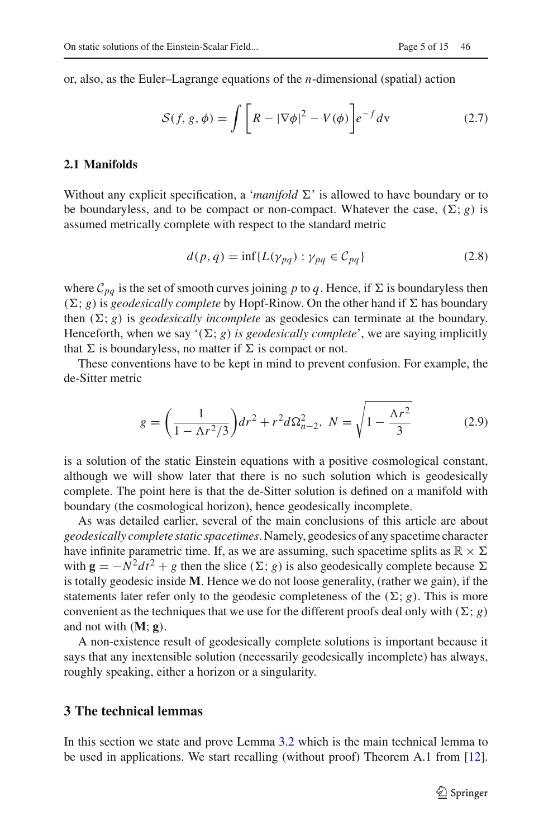or, also, as the Euler–Lagrange equations of the *n*-dimensional (spatial) action

$$
S(f, g, \phi) = \int \left[ R - |\nabla \phi|^2 - V(\phi) \right] e^{-f} dv \qquad (2.7)
$$

#### <span id="page-4-0"></span>**2.1 Manifolds**

Without any explicit specification, a '*manifold*  $\Sigma$ ' is allowed to have boundary or to be boundaryless, and to be compact or non-compact. Whatever the case,  $(\Sigma; g)$  is assumed metrically complete with respect to the standard metric

$$
d(p,q) = \inf \{ L(\gamma_{pq}) : \gamma_{pq} \in C_{pq} \}
$$
 (2.8)

where  $\mathcal{C}_{pa}$  is the set of smooth curves joining p to q. Hence, if  $\Sigma$  is boundaryless then  $(\Sigma; g)$  is *geodesically complete* by Hopf-Rinow. On the other hand if  $\Sigma$  has boundary then  $(\Sigma; g)$  is *geodesically incomplete* as geodesics can terminate at the boundary. Henceforth, when we say  $(\Sigma; g)$  *is geodesically complete*', we are saying implicitly that  $\Sigma$  is boundaryless, no matter if  $\Sigma$  is compact or not.

These conventions have to be kept in mind to prevent confusion. For example, the de-Sitter metric

$$
g = \left(\frac{1}{1 - \Lambda r^2/3}\right) dr^2 + r^2 d\Omega_{n-2}^2, \ N = \sqrt{1 - \frac{\Lambda r^2}{3}} \tag{2.9}
$$

is a solution of the static Einstein equations with a positive cosmological constant, although we will show later that there is no such solution which is geodesically complete. The point here is that the de-Sitter solution is defined on a manifold with boundary (the cosmological horizon), hence geodesically incomplete.

As was detailed earlier, several of the main conclusions of this article are about *geodesically complete static spacetimes*. Namely, geodesics of any spacetime character have infinite parametric time. If, as we are assuming, such spacetime splits as  $\mathbb{R} \times \Sigma$ with  $\mathbf{g} = -N^2 dt^2 + g$  then the slice ( $\Sigma$ ; *g*) is also geodesically complete because  $\Sigma$ is totally geodesic inside **M**. Hence we do not loose generality, (rather we gain), if the statements later refer only to the geodesic completeness of the  $(\Sigma; g)$ . This is more convenient as the techniques that we use for the different proofs deal only with  $(\Sigma; g)$ and not with  $(M; g)$ .

A non-existence result of geodesically complete solutions is important because it says that any inextensible solution (necessarily geodesically incomplete) has always, roughly speaking, either a horizon or a singularity.

## <span id="page-4-1"></span>**3 The technical lemmas**

In this section we state and prove Lemma [3.2](#page-5-0) which is the main technical lemma to be used in applications. We start recalling (without proof) Theorem A.1 from [\[12](#page-14-11)].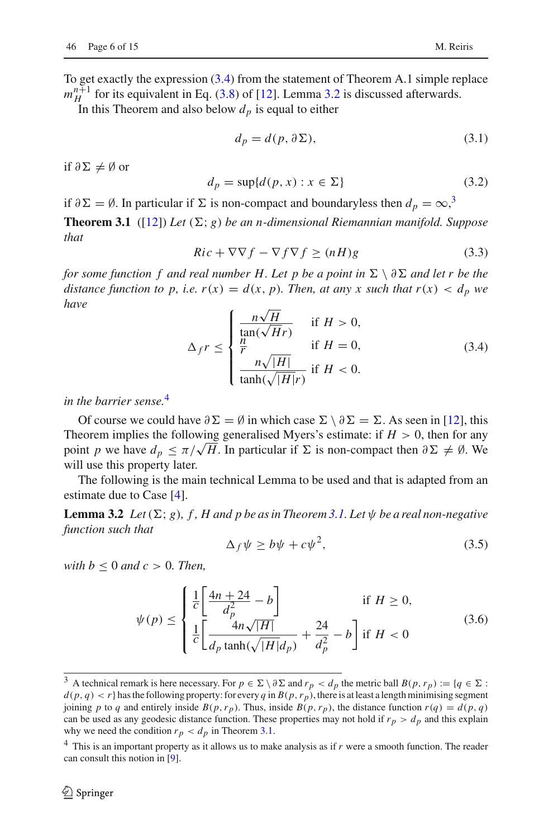To get exactly the expression [\(3.4\)](#page-5-1) from the statement of Theorem A.1 simple replace  $m_H^{n+1}$  for its equivalent in Eq. [\(3.8\)](#page-6-3) of [\[12\]](#page-14-11). Lemma [3.2](#page-5-0) is discussed afterwards.

In this Theorem and also below  $d_p$  is equal to either

<span id="page-5-4"></span>
$$
d_p = d(p, \partial \Sigma),\tag{3.1}
$$

if  $\partial \Sigma \neq \emptyset$  or

$$
d_p = \sup\{d(p, x) : x \in \Sigma\}
$$
\n(3.2)

if  $\partial \Sigma = \emptyset$ . In particular if  $\Sigma$  is non-compact and boundaryless then  $d_p = \infty$ ,<sup>[3](#page-5-2)</sup>

**Theorem 3.1** ([\[12\]](#page-14-11)) *Let*  $(\Sigma; g)$  *be an n-dimensional Riemannian manifold. Suppose that*

$$
Ric + \nabla \nabla f - \nabla f \nabla f \ge (nH)g \tag{3.3}
$$

*for some function f and real number H. Let p be a point in*  $\Sigma \setminus \partial \Sigma$  *and let r be the distance function to p, i.e.*  $r(x) = d(x, p)$ *. Then, at any x such that*  $r(x) < d_p$  *we have*

<span id="page-5-1"></span>
$$
\Delta_f r \le \begin{cases} \frac{n\sqrt{H}}{\tan(\sqrt{H}r)} & \text{if } H > 0, \\ \frac{n}{r} & \text{if } H = 0, \\ \frac{n\sqrt{|H|}}{\tanh(\sqrt{|H|}r)} & \text{if } H < 0. \end{cases}
$$
(3.4)

*in the barrier sense.*[4](#page-5-3)

Of course we could have  $\partial \Sigma = \emptyset$  in which case  $\Sigma \setminus \partial \Sigma = \Sigma$ . As seen in [\[12\]](#page-14-11), this Theorem implies the following generalised Myers's estimate: if  $H > 0$ , then for any point *p* we have  $d_p \leq \pi/\sqrt{H}$ . In particular if  $\Sigma$  is non-compact then  $\partial \Sigma \neq \emptyset$ . We will use this property later.

The following is the main technical Lemma to be used and that is adapted from an estimate due to Case [\[4\]](#page-14-7).

**Lemma 3.2** *Let*  $(\Sigma; g)$ *, f, H and p be as in Theorem [3.1.](#page-5-4) Let*  $\psi$  *be a real non-negative function such that*

<span id="page-5-5"></span><span id="page-5-0"></span>
$$
\Delta_f \psi \ge b\psi + c\psi^2,\tag{3.5}
$$

*with*  $b \leq 0$  *and*  $c > 0$ *. Then,* 

<span id="page-5-6"></span>
$$
\psi(p) \le \begin{cases} \frac{1}{c} \left[ \frac{4n+24}{d_p^2} - b \right] & \text{if } H \ge 0, \\ \frac{1}{c} \left[ \frac{4n\sqrt{|H|}}{d_p \tanh(\sqrt{|H|} d_p)} + \frac{24}{d_p^2} - b \right] & \text{if } H < 0 \end{cases} \tag{3.6}
$$

<span id="page-5-2"></span><sup>&</sup>lt;sup>3</sup> A technical remark is here necessary. For  $p \in \Sigma \setminus \partial \Sigma$  and  $r_p < d_p$  the metric ball  $B(p, r_p) := \{q \in \Sigma :$  $d(p, q) < r$ } has the following property: for every *q* in  $B(p, r_p)$ , there is at least a length minimising segment joining *p* to *q* and entirely inside  $B(p, r_p)$ . Thus, inside  $B(p, r_p)$ , the distance function  $r(q) = d(p, q)$ can be used as any geodesic distance function. These properties may not hold if  $r_p > d_p$  and this explain why we need the condition  $r_p < d_p$  in Theorem [3.1.](#page-5-4)

<span id="page-5-3"></span><sup>4</sup> This is an important property as it allows us to make analysis as if *r* were a smooth function. The reader can consult this notion in [\[9\]](#page-14-12).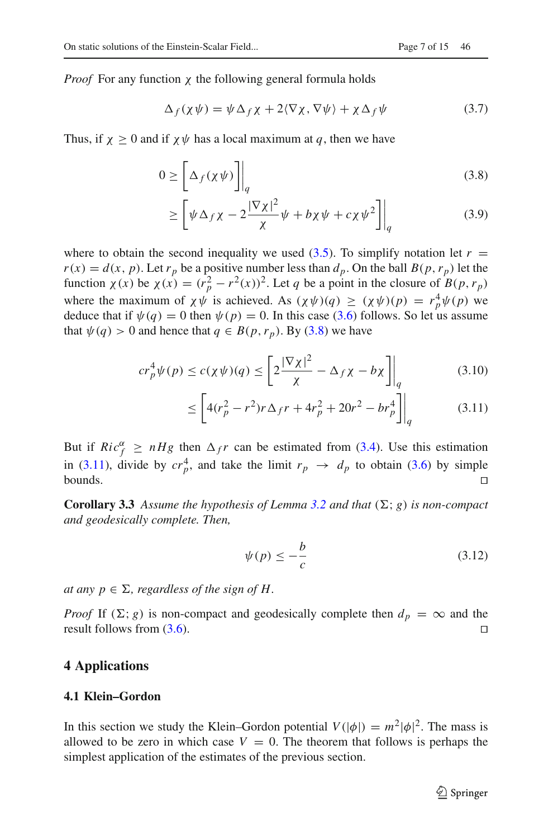*Proof* For any function *χ* the following general formula holds

$$
\Delta_f(\chi\psi) = \psi \Delta_f \chi + 2\langle \nabla \chi, \nabla \psi \rangle + \chi \Delta_f \psi \tag{3.7}
$$

Thus, if  $\chi \geq 0$  and if  $\chi \psi$  has a local maximum at q, then we have

$$
0 \ge \left[ \Delta_f(\chi \psi) \right] \Big|_q \tag{3.8}
$$

<span id="page-6-3"></span>
$$
\geq \left[ \psi \Delta_f \chi - 2 \frac{|\nabla \chi|^2}{\chi} \psi + b \chi \psi + c \chi \psi^2 \right] \Big|_q \tag{3.9}
$$

where to obtain the second inequality we used  $(3.5)$ . To simplify notation let  $r =$  $r(x) = d(x, p)$ . Let  $r_p$  be a positive number less than  $d_p$ . On the ball  $B(p, r_p)$  let the function  $\chi(x)$  be  $\chi(x) = (r_p^2 - r^2(x))^2$ . Let *q* be a point in the closure of *B*(*p*, *r<sub>p</sub>*) where the maximum of  $\chi \psi$  is achieved. As  $(\chi \psi)(q) \ge (\chi \psi)(p) = r_p^4 \psi(p)$  we deduce that if  $\psi(q) = 0$  then  $\psi(p) = 0$ . In this case [\(3.6\)](#page-5-6) follows. So let us assume that  $\psi(q) > 0$  and hence that  $q \in B(p, r_p)$ . By [\(3.8\)](#page-6-3) we have

$$
cr_p^4\psi(p) \le c(\chi\psi)(q) \le \left[2\frac{|\nabla\chi|^2}{\chi} - \Delta_f\chi - b\chi\right]\bigg|_q \tag{3.10}
$$

$$
\leq \left[4(r_p^2 - r^2)r\Delta_f r + 4r_p^2 + 20r^2 - br_p^4\right]\bigg|_q\tag{3.11}
$$

But if  $Ric_f^{\alpha} \ge nHg$  then  $\Delta_f r$  can be estimated from [\(3.4\)](#page-5-1). Use this estimation in [\(3.11\)](#page-6-4), divide by  $cr_p^4$ , and take the limit  $r_p \rightarrow d_p$  to obtain [\(3.6\)](#page-5-6) by simple bounds. ⊓0

<span id="page-6-5"></span>**Corollary 3.3** Assume the hypothesis of Lemma [3.2](#page-5-0) and that  $(\Sigma; g)$  is non-compact *and geodesically complete. Then,*

<span id="page-6-4"></span><span id="page-6-0"></span>
$$
\psi(p) \le -\frac{b}{c} \tag{3.12}
$$

*at any*  $p \in \Sigma$ , regardless of the sign of H.

*Proof* If ( $\Sigma$ ; *g*) is non-compact and geodesically complete then  $d_p = \infty$  and the result follows from [\(3.6\)](#page-5-6). □

# <span id="page-6-1"></span>**4 Applications**

## <span id="page-6-2"></span>**4.1 Klein–Gordon**

In this section we study the Klein–Gordon potential  $V(|\phi|) = m^2 |\phi|^2$ . The mass is allowed to be zero in which case  $V = 0$ . The theorem that follows is perhaps the simplest application of the estimates of the previous section.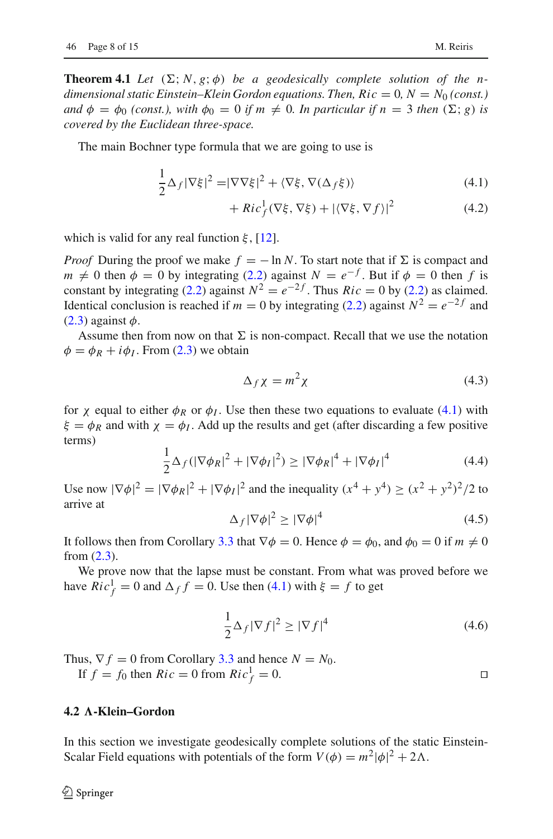**Theorem 4.1** Let  $(\Sigma; N, g; \phi)$  be a geodesically complete solution of the n*dimensional static Einstein–Klein Gordon equations. Then,*  $Ric = 0$ *,*  $N = N_0$  *(const.) and*  $\phi = \phi_0$  *(const.), with*  $\phi_0 = 0$  *if m*  $\neq$  0*. In particular if n* = 3 *then* ( $\Sigma$ ; *g*) *is covered by the Euclidean three-space.*

The main Bochner type formula that we are going to use is

$$
\frac{1}{2}\Delta_f|\nabla\xi|^2 = |\nabla\nabla\xi|^2 + \langle\nabla\xi, \nabla(\Delta_f\xi)\rangle
$$
\n(4.1)

<span id="page-7-0"></span>
$$
+ Ric_f^1(\nabla \xi, \nabla \xi) + |\langle \nabla \xi, \nabla f \rangle|^2 \tag{4.2}
$$

which is valid for any real function  $\xi$ , [\[12](#page-14-11)].

*Proof* During the proof we make  $f = -\ln N$ . To start note that if  $\Sigma$  is compact and  $m \neq 0$  then  $\phi = 0$  by integrating [\(2.2\)](#page-3-2) against  $N = e^{-f}$ . But if  $\phi = 0$  then *f* is constant by integrating [\(2.2\)](#page-3-2) against  $N^2 = e^{-2f}$ . Thus  $Ric = 0$  by (2.2) as claimed. Identical conclusion is reached if *m* = 0 by integrating [\(2.2\)](#page-3-2) against  $N^2 = e^{-2f}$  and  $(2.3)$  against  $\phi$ .

Assume then from now on that  $\Sigma$  is non-compact. Recall that we use the notation  $\phi = \phi_R + i \phi_I$ . From [\(2.3\)](#page-3-4) we obtain

$$
\Delta_f \chi = m^2 \chi \tag{4.3}
$$

for  $\chi$  equal to either  $\phi_R$  or  $\phi_I$ . Use then these two equations to evaluate [\(4.1\)](#page-7-0) with  $\xi = \phi_R$  and with  $\chi = \phi_I$ . Add up the results and get (after discarding a few positive terms)

$$
\frac{1}{2}\Delta_f(|\nabla\phi_R|^2+|\nabla\phi_I|^2)\geq|\nabla\phi_R|^4+|\nabla\phi_I|^4\tag{4.4}
$$

Use now  $|\nabla \phi|^2 = |\nabla \phi_R|^2 + |\nabla \phi_I|^2$  and the inequality  $(x^4 + y^4) \ge (x^2 + y^2)^2/2$  to arrive at

$$
\Delta_f |\nabla \phi|^2 \ge |\nabla \phi|^4 \tag{4.5}
$$

It follows then from Corollary [3.3](#page-6-5) that  $\nabla \phi = 0$ . Hence  $\phi = \phi_0$ , and  $\phi_0 = 0$  if  $m \neq 0$ from [\(2.3\)](#page-3-4).

We prove now that the lapse must be constant. From what was proved before we have  $Ric_f^1 = 0$  and  $\Delta_f f = 0$ . Use then [\(4.1\)](#page-7-0) with  $\xi = f$  to get

$$
\frac{1}{2}\Delta_f|\nabla f|^2 \ge |\nabla f|^4\tag{4.6}
$$

Thus,  $\nabla f = 0$  from Corollary [3.3](#page-6-5) and hence  $N = N_0$ . If  $f = f_0$  then  $Ric = 0$  from  $Ric_f^1 = 0$ .

## <span id="page-7-1"></span>**4.2 A-Klein–Gordon**

In this section we investigate geodesically complete solutions of the static Einstein-Scalar Field equations with potentials of the form  $V(\phi) = m^2 |\phi|^2 + 2\Lambda$ .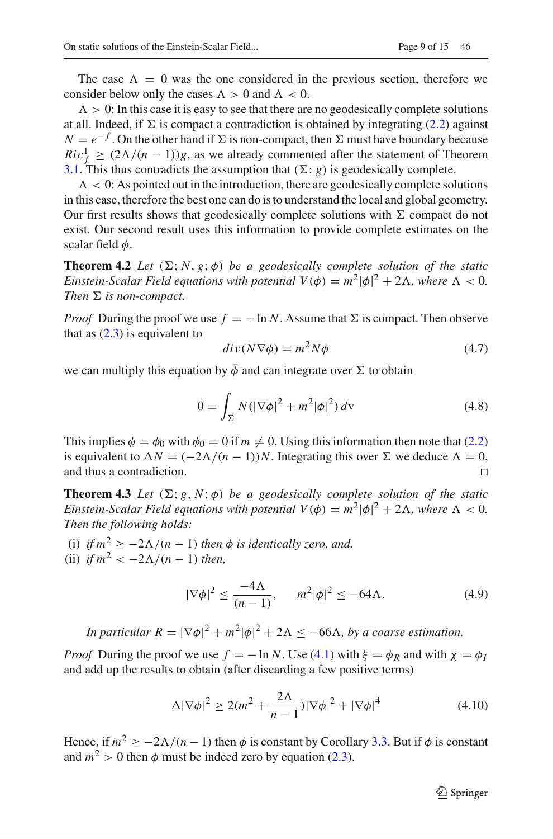The case  $\Lambda = 0$  was the one considered in the previous section, therefore we consider below only the cases  $\Lambda > 0$  and  $\Lambda < 0$ .

 $\Lambda > 0$ : In this case it is easy to see that there are no geodesically complete solutions at all. Indeed, if  $\Sigma$  is compact a contradiction is obtained by integrating [\(2.2\)](#page-3-2) against  $N = e^{-f}$ . On the other hand if  $\Sigma$  is non-compact, then  $\Sigma$  must have boundary because  $Ric_f^1 \geq (2\Lambda/(n-1))g$ , as we already commented after the statement of Theorem [3.1.](#page-5-4) This thus contradicts the assumption that  $(\Sigma; g)$  is geodesically complete.

 $\Lambda < 0$ : As pointed out in the introduction, there are geodesically complete solutions in this case, therefore the best one can do is to understand the local and global geometry. Our first results shows that geodesically complete solutions with  $\Sigma$  compact do not exist. Our second result uses this information to provide complete estimates on the scalar field  $\phi$ .

<span id="page-8-0"></span>**Theorem 4.2** *Let*  $(\Sigma; N, g; \phi)$  *be a geodesically complete solution of the static Einstein-Scalar Field equations with potential*  $V(\phi) = m^2 |\phi|^2 + 2\Lambda$ *, where*  $\Lambda < 0$ *. Then*  $\Sigma$  *is non-compact.* 

*Proof* During the proof we use  $f = -\ln N$ . Assume that  $\Sigma$  is compact. Then observe that as  $(2.3)$  is equivalent to

$$
div(N\nabla\phi) = m^2 N\phi
$$
 (4.7)

we can multiply this equation by  $\bar{\phi}$  and can integrate over  $\Sigma$  to obtain

$$
0 = \int_{\Sigma} N(|\nabla \phi|^2 + m^2 |\phi|^2) \, dv \tag{4.8}
$$

This implies  $\phi = \phi_0$  with  $\phi_0 = 0$  if  $m \neq 0$ . Using this information then note that [\(2.2\)](#page-3-2) is equivalent to  $\Delta N = (-2\Delta/(n-1))N$ . Integrating this over  $\Sigma$  we deduce  $\Lambda = 0$ , and thus a contradiction. and thus a contradiction.

<span id="page-8-1"></span>**Theorem 4.3** *Let*  $(\Sigma; g, N; \phi)$  *be a geodesically complete solution of the static Einstein-Scalar Field equations with potential*  $V(\phi) = m^2 |\phi|^2 + 2\Lambda$ *, where*  $\Lambda < 0$ *. Then the following holds:*

(i) *if*  $m^2 \ge -2\Lambda/(n-1)$  *then*  $\phi$  *is identically zero, and,* (ii) *if*  $m^2 < -2\Lambda/(n-1)$  *then,* 

<span id="page-8-2"></span>
$$
|\nabla \phi|^2 \le \frac{-4\Lambda}{(n-1)}, \qquad m^2 |\phi|^2 \le -64\Lambda. \tag{4.9}
$$

*In particular*  $R = |\nabla \phi|^2 + m^2 |\phi|^2 + 2\Lambda \leq -66\Lambda$ , by a coarse estimation.

*Proof* During the proof we use  $f = -\ln N$ . Use [\(4.1\)](#page-7-0) with  $\xi = \phi_R$  and with  $\chi = \phi_I$ and add up the results to obtain (after discarding a few positive terms)

$$
\Delta |\nabla \phi|^2 \ge 2(m^2 + \frac{2\Lambda}{n-1})|\nabla \phi|^2 + |\nabla \phi|^4 \tag{4.10}
$$

Hence, if  $m^2 \ge -2\Lambda/(n-1)$  then  $\phi$  is constant by Corollary [3.3.](#page-6-5) But if  $\phi$  is constant and  $m^2 > 0$  then  $\phi$  must be indeed zero by equation [\(2.3\)](#page-3-4).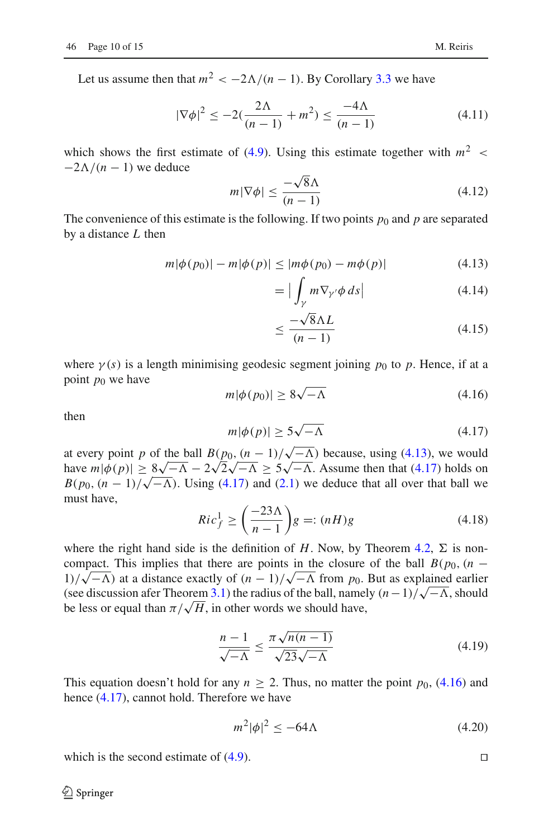Let us assume then that  $m^2 < -2\Lambda/(n-1)$ . By Corollary [3.3](#page-6-5) we have

$$
|\nabla \phi|^2 \le -2(\frac{2\Lambda}{(n-1)} + m^2) \le \frac{-4\Lambda}{(n-1)}
$$
\n(4.11)

which shows the first estimate of  $(4.9)$ . Using this estimate together with  $m^2$  <  $-2\Lambda/(n-1)$  we deduce

$$
m|\nabla\phi| \le \frac{-\sqrt{8}\Lambda}{(n-1)}
$$
\n(4.12)

The convenience of this estimate is the following. If two points  $p_0$  and  $p$  are separated by a distance *L* then

$$
m|\phi(p_0)| - m|\phi(p)| \le |m\phi(p_0) - m\phi(p)| \tag{4.13}
$$

<span id="page-9-0"></span>
$$
= \left| \int_{\gamma} m \nabla_{\gamma'} \phi \, ds \right| \tag{4.14}
$$

$$
\leq \frac{-\sqrt{8}\Lambda L}{(n-1)}\tag{4.15}
$$

where  $\gamma(s)$  is a length minimising geodesic segment joining  $p_0$  to p. Hence, if at a point  $p_0$  we have

<span id="page-9-2"></span>
$$
m|\phi(p_0)| \ge 8\sqrt{-\Lambda} \tag{4.16}
$$

then

<span id="page-9-1"></span>
$$
m|\phi(p)| \ge 5\sqrt{-\Lambda} \tag{4.17}
$$

at every point *p* of the ball  $B(p_0, (n-1)/\sqrt{-\Lambda})$  because, using [\(4.13\)](#page-9-0), we would have  $m|\phi(p)| \ge \frac{8\sqrt{-\Lambda}}{2} - 2\sqrt{2}\sqrt{-\Lambda} \ge 5\sqrt{-\Lambda}$ . Assume then that [\(4.17\)](#page-9-1) holds on  $B(p_0, (n-1)/\sqrt{-\Lambda})$ . Using [\(4.17\)](#page-9-1) and [\(2.1\)](#page-3-1) we deduce that all over that ball we must have,

$$
Ric_f^1 \ge \left(\frac{-23\Lambda}{n-1}\right)g =: (nH)g\tag{4.18}
$$

where the right hand side is the definition of *H*. Now, by Theorem [4.2,](#page-8-0)  $\Sigma$  is noncompact. This implies that there are points in the closure of the ball  $B(p_0, (n -$ 1)/ $\sqrt{-\Lambda}$ ) at a distance exactly of  $(n - 1)/\sqrt{-\Lambda}$  from *p*<sub>0</sub>. But as explained earlier (see discussion afer Theorem [3.1\)](#page-5-4) the radius of the ball, namely  $(n-1)/\sqrt{-\Lambda}$ , should be less or equal than  $\pi/\sqrt{H}$ , in other words we should have,

$$
\frac{n-1}{\sqrt{-\Lambda}} \le \frac{\pi \sqrt{n(n-1)}}{\sqrt{23}\sqrt{-\Lambda}}\tag{4.19}
$$

This equation doesn't hold for any  $n \geq 2$ . Thus, no matter the point  $p_0$ , [\(4.16\)](#page-9-2) and hence [\(4.17\)](#page-9-1), cannot hold. Therefore we have

$$
m^2|\phi|^2 \le -64\Lambda\tag{4.20}
$$

which is the second estimate of  $(4.9)$ . □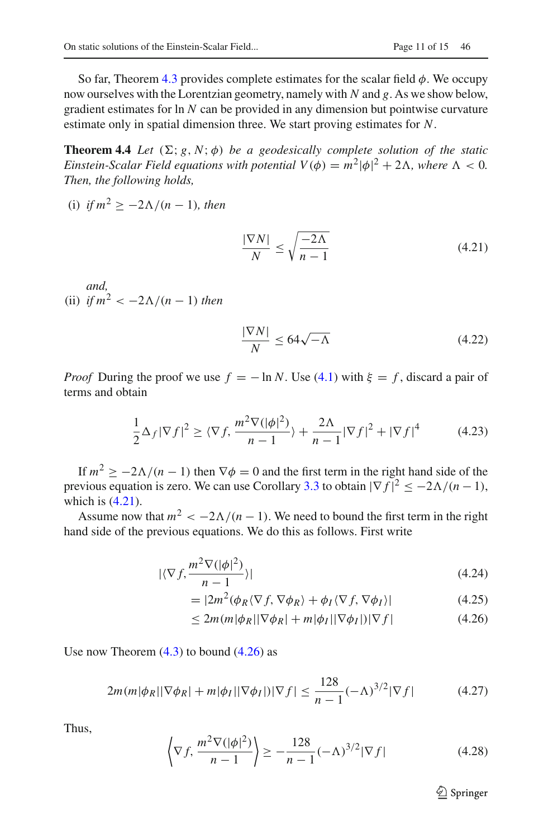So far, Theorem [4.3](#page-8-1) provides complete estimates for the scalar field  $\phi$ . We occupy now ourselves with the Lorentzian geometry, namely with *N* and *g*. As we show below, gradient estimates for ln *N* can be provided in any dimension but pointwise curvature estimate only in spatial dimension three. We start proving estimates for *N*.

**Theorem 4.4** *Let*  $(\Sigma; g, N; \phi)$  *be a geodesically complete solution of the static Einstein-Scalar Field equations with potential*  $V(\phi) = m^2 |\phi|^2 + 2\Lambda$ *, where*  $\Lambda < 0$ *. Then, the following holds,*

(i) if 
$$
m^2 \ge -2\Lambda/(n-1)
$$
, then

<span id="page-10-1"></span><span id="page-10-0"></span>
$$
\frac{|\nabla N|}{N} \le \sqrt{\frac{-2\Lambda}{n-1}}\tag{4.21}
$$

*and,* (ii) *if*  $m^2 < -2\Lambda/(n-1)$  *then* 

<span id="page-10-3"></span>
$$
\frac{|\nabla N|}{N} \le 64\sqrt{-\Lambda} \tag{4.22}
$$

*Proof* During the proof we use  $f = -\ln N$ . Use [\(4.1\)](#page-7-0) with  $\xi = f$ , discard a pair of terms and obtain

$$
\frac{1}{2}\Delta_f|\nabla f|^2 \ge \langle \nabla f, \frac{m^2 \nabla(|\phi|^2)}{n-1} \rangle + \frac{2\Lambda}{n-1}|\nabla f|^2 + |\nabla f|^4 \tag{4.23}
$$

If  $m^2 > -2\Lambda/(n-1)$  then  $\nabla \phi = 0$  and the first term in the right hand side of the previous equation is zero. We can use Corollary [3.3](#page-6-5) to obtain  $|\nabla f|^2 \leq -2\Lambda/(n-1)$ , which is  $(4.21)$ .

Assume now that  $m^2 < -2\Lambda/(n-1)$ . We need to bound the first term in the right hand side of the previous equations. We do this as follows. First write

$$
|\langle \nabla f, \frac{m^2 \nabla (|\phi|^2)}{n-1} \rangle|
$$
\n(4.24)

$$
= |2m^2(\phi_R \langle \nabla f, \nabla \phi_R \rangle + \phi_I \langle \nabla f, \nabla \phi_I \rangle| \tag{4.25}
$$

$$
\leq 2m(m|\phi_R||\nabla\phi_R| + m|\phi_I||\nabla\phi_I|)|\nabla f| \tag{4.26}
$$

Use now Theorem  $(4.3)$  to bound  $(4.26)$  as

$$
2m(m|\phi_R||\nabla\phi_R| + m|\phi_I||\nabla\phi_I|)|\nabla f| \le \frac{128}{n-1}(-\Lambda)^{3/2}|\nabla f| \tag{4.27}
$$

Thus,

$$
\left\langle \nabla f, \frac{m^2 \nabla (|\phi|^2)}{n-1} \right\rangle \ge -\frac{128}{n-1} (-\Lambda)^{3/2} |\nabla f| \tag{4.28}
$$

<span id="page-10-2"></span><sup>2</sup> Springer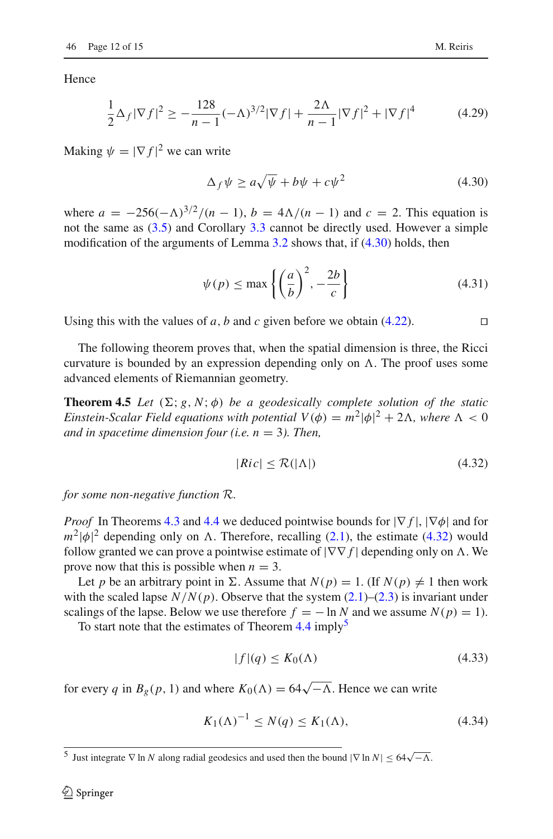Hence

$$
\frac{1}{2}\Delta_f|\nabla f|^2 \ge -\frac{128}{n-1}(-\Lambda)^{3/2}|\nabla f| + \frac{2\Lambda}{n-1}|\nabla f|^2 + |\nabla f|^4 \tag{4.29}
$$

Making  $\psi = |\nabla f|^2$  we can write

<span id="page-11-1"></span>
$$
\Delta_f \psi \ge a\sqrt{\psi} + b\psi + c\psi^2 \tag{4.30}
$$

where  $a = -256(-\Lambda)^{3/2}/(n-1)$ ,  $b = 4\Lambda/(n-1)$  and  $c = 2$ . This equation is not the same as [\(3.5\)](#page-5-5) and Corollary [3.3](#page-6-5) cannot be directly used. However a simple modification of the arguments of Lemma  $3.2$  shows that, if  $(4.30)$  holds, then

$$
\psi(p) \le \max\left\{ \left(\frac{a}{b}\right)^2, -\frac{2b}{c} \right\} \tag{4.31}
$$

Using this with the values of *a*, *b* and *c* given before we obtain [\(4.22\)](#page-10-3). □

The following theorem proves that, when the spatial dimension is three, the Ricci curvature is bounded by an expression depending only on  $\Lambda$ . The proof uses some advanced elements of Riemannian geometry.

**Theorem 4.5** *Let*  $(\Sigma; g, N; \phi)$  *be a geodesically complete solution of the static Einstein-Scalar Field equations with potential*  $V(\phi) = m^2 |\phi|^2 + 2\Lambda$ *, where*  $\Lambda < 0$ *and in spacetime dimension four (i.e. n* = 3*). Then,*

<span id="page-11-2"></span><span id="page-11-0"></span>
$$
|Ric| \le \mathcal{R}(|\Lambda|) \tag{4.32}
$$

*for some non-negative function* R*.*

*Proof* In Theorems [4.3](#page-8-1) and [4.4](#page-10-0) we deduced pointwise bounds for  $|\nabla f|$ ,  $|\nabla \phi|$  and for  $m^2 |\phi|^2$  depending only on  $\Lambda$ . Therefore, recalling [\(2.1\)](#page-3-1), the estimate [\(4.32\)](#page-11-2) would follow granted we can prove a pointwise estimate of  $|\nabla \nabla f|$  depending only on  $\Lambda$ . We prove now that this is possible when  $n = 3$ .

Let *p* be an arbitrary point in  $\Sigma$ . Assume that  $N(p) = 1$ . (If  $N(p) \neq 1$  then work with the scaled lapse  $N/N(p)$ . Observe that the system  $(2.1)$ – $(2.3)$  is invariant under scalings of the lapse. Below we use therefore  $f = -\ln N$  and we assume  $N(p) = 1$ .

To start note that the estimates of Theorem  $4.4$  imply<sup>[5](#page-11-3)</sup>

<span id="page-11-4"></span>
$$
|f|(q) \le K_0(\Lambda) \tag{4.33}
$$

for every *q* in  $B_g(p, 1)$  and where  $K_0(\Lambda) = 64\sqrt{-\Lambda}$ . Hence we can write

<span id="page-11-5"></span>
$$
K_1(\Lambda)^{-1} \le N(q) \le K_1(\Lambda),\tag{4.34}
$$

<span id="page-11-3"></span><sup>&</sup>lt;sup>5</sup> Just integrate  $\nabla$  ln *N* along radial geodesics and used then the bound  $|\nabla \ln N|$  ≤ 64 $\sqrt{-\Lambda}$ .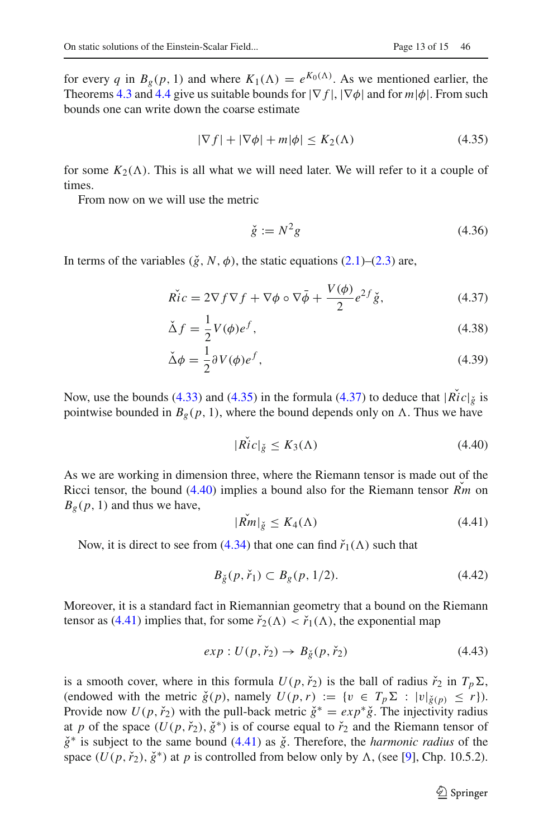for every *q* in  $B_g(p, 1)$  and where  $K_1(\Lambda) = e^{K_0(\Lambda)}$ . As we mentioned earlier, the Theorems [4.3](#page-8-1) and [4.4](#page-10-0) give us suitable bounds for |∇ *f* |, |∇φ| and for *m*|φ|. From such bounds one can write down the coarse estimate

<span id="page-12-0"></span>
$$
|\nabla f| + |\nabla \phi| + m|\phi| \le K_2(\Lambda) \tag{4.35}
$$

for some  $K_2(\Lambda)$ . This is all what we will need later. We will refer to it a couple of times.

From now on we will use the metric

<span id="page-12-5"></span><span id="page-12-4"></span><span id="page-12-1"></span>
$$
\check{g} := N^2 g \tag{4.36}
$$

In terms of the variables  $(\check{g}, N, \phi)$ , the static equations  $(2.1)$ – $(2.3)$  are,

$$
\widetilde{Ric} = 2\nabla f \nabla f + \nabla \phi \circ \nabla \bar{\phi} + \frac{V(\phi)}{2} e^{2f} \check{g},\tag{4.37}
$$

$$
\Delta f = \frac{1}{2} V(\phi) e^f,\tag{4.38}
$$

$$
\check{\Delta}\phi = \frac{1}{2}\partial V(\phi)e^f,\tag{4.39}
$$

Now, use the bounds [\(4.33\)](#page-11-4) and [\(4.35\)](#page-12-0) in the formula [\(4.37\)](#page-12-1) to deduce that  $|\tilde{Ric}|\tilde{g}$  is pointwise bounded in  $B_g(p, 1)$ , where the bound depends only on  $\Lambda$ . Thus we have

<span id="page-12-2"></span>
$$
|\mathring{Ric}|_{\check{g}} \le K_3(\Lambda) \tag{4.40}
$$

As we are working in dimension three, where the Riemann tensor is made out of the Ricci tensor, the bound  $(4.40)$  implies a bound also for the Riemann tensor  $\overrightarrow{Rm}$  on  $B_g(p, 1)$  and thus we have,

<span id="page-12-3"></span>
$$
|Rm|_{\check{g}} \le K_4(\Lambda) \tag{4.41}
$$

Now, it is direct to see from [\(4.34\)](#page-11-5) that one can find  $\check{r}_1(\Lambda)$  such that

$$
B_{\breve{g}}(p, \breve{r}_1) \subset B_g(p, 1/2). \tag{4.42}
$$

Moreover, it is a standard fact in Riemannian geometry that a bound on the Riemann tensor as [\(4.41\)](#page-12-3) implies that, for some  $\check{r}_2(\Lambda) < \check{r}_1(\Lambda)$ , the exponential map

$$
exp: U(p, \check{r}_2) \to B_{\check{g}}(p, \check{r}_2)
$$
\n(4.43)

is a smooth cover, where in this formula  $U(p, \check{r}_2)$  is the ball of radius  $\check{r}_2$  in  $T_p \Sigma$ , (endowed with the metric  $\check{g}(p)$ , namely  $U(p, r) := \{v \in T_p \Sigma : |v|_{\check{g}(p)} \leq r\}$ ). Provide now  $U(p, r̃<sub>2</sub>)$  with the pull-back metric  $\check{g}^* = exp^* \check{g}$ . The injectivity radius at *p* of the space  $(U(p, \check{r}_2), \check{g}^*)$  is of course equal to  $\check{r}_2$  and the Riemann tensor of *g*<sup>∗</sup> is subject to the same bound [\(4.41\)](#page-12-3) as  $\check{g}$ . Therefore, the *harmonic radius* of the space  $(U(p, \check{r}_2), \check{g}^*)$  at *p* is controlled from below only by  $\Lambda$ , (see [\[9](#page-14-12)], Chp. 10.5.2).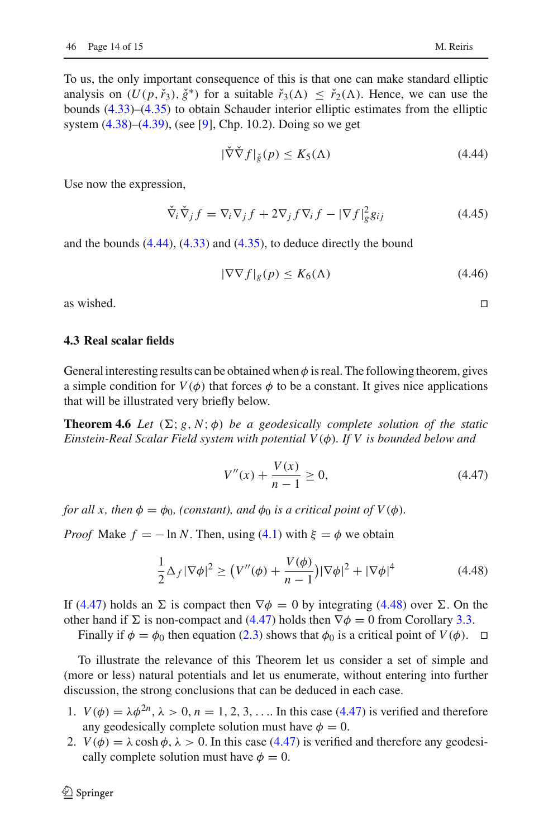To us, the only important consequence of this is that one can make standard elliptic analysis on  $(U(p, r_{3}), \check{g}^{*})$  for a suitable  $\check{r}_{3}(\Lambda) \leq \check{r}_{2}(\Lambda)$ . Hence, we can use the bounds [\(4.33\)](#page-11-4)–[\(4.35\)](#page-12-0) to obtain Schauder interior elliptic estimates from the elliptic system [\(4.38\)](#page-12-4)–[\(4.39\)](#page-12-5), (see [\[9\]](#page-14-12), Chp. 10.2). Doing so we get

<span id="page-13-1"></span>
$$
|\nabla \nabla f|_{\check{g}}(p) \le K_5(\Lambda) \tag{4.44}
$$

Use now the expression,

$$
\check{\nabla}_i \check{\nabla}_j f = \nabla_i \nabla_j f + 2 \nabla_j f \nabla_i f - |\nabla f|_g^2 g_{ij}
$$
\n(4.45)

and the bounds [\(4.44\)](#page-13-1), [\(4.33\)](#page-11-4) and [\(4.35\)](#page-12-0), to deduce directly the bound

$$
|\nabla \nabla f|_g(p) \le K_6(\Lambda) \tag{4.46}
$$

as wished.  $□$ 

#### <span id="page-13-0"></span>**4.3 Real scalar fields**

General interesting results can be obtained when  $\phi$  is real. The following theorem, gives a simple condition for  $V(\phi)$  that forces  $\phi$  to be a constant. It gives nice applications that will be illustrated very briefly below.

**Theorem 4.6** *Let*  $(\Sigma; g, N; \phi)$  *be a geodesically complete solution of the static Einstein-Real Scalar Field system with potential V*(φ)*. If V is bounded below and*

<span id="page-13-2"></span>
$$
V''(x) + \frac{V(x)}{n-1} \ge 0,
$$
\n(4.47)

*for all x, then*  $\phi = \phi_0$ *, (constant), and*  $\phi_0$  *is a critical point of*  $V(\phi)$ *.* 

*Proof* Make  $f = -\ln N$ . Then, using [\(4.1\)](#page-7-0) with  $\xi = \phi$  we obtain

<span id="page-13-3"></span>
$$
\frac{1}{2}\Delta_f|\nabla\phi|^2 \ge (V''(\phi) + \frac{V(\phi)}{n-1})|\nabla\phi|^2 + |\nabla\phi|^4 \tag{4.48}
$$

If [\(4.47\)](#page-13-2) holds an  $\Sigma$  is compact then  $\nabla \phi = 0$  by integrating [\(4.48\)](#page-13-3) over  $\Sigma$ . On the other hand if  $\Sigma$  is non-compact and [\(4.47\)](#page-13-2) holds then  $\nabla \phi = 0$  from Corollary [3.3.](#page-6-5)

Finally if  $\phi = \phi_0$  then equation [\(2.3\)](#page-3-4) shows that  $\phi_0$  is a critical point of *V*( $\phi$ ). □

To illustrate the relevance of this Theorem let us consider a set of simple and (more or less) natural potentials and let us enumerate, without entering into further discussion, the strong conclusions that can be deduced in each case.

- 1.  $V(\phi) = \lambda \phi^{2n}, \lambda > 0, n = 1, 2, 3, \ldots$  In this case [\(4.47\)](#page-13-2) is verified and therefore any geodesically complete solution must have  $\phi = 0$ .
- 2.  $V(\phi) = \lambda \cosh \phi$ ,  $\lambda > 0$ . In this case [\(4.47\)](#page-13-2) is verified and therefore any geodesically complete solution must have  $\phi = 0$ .